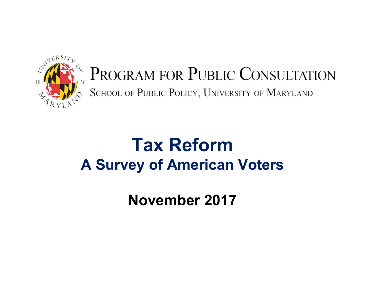

### PROGRAM FOR PUBLIC CONSULTATION SCHOOL OF PUBLIC POLICY, UNIVERSITY OF MARYLAND

### **Tax ReformA Survey of American Voters**

**November 2017**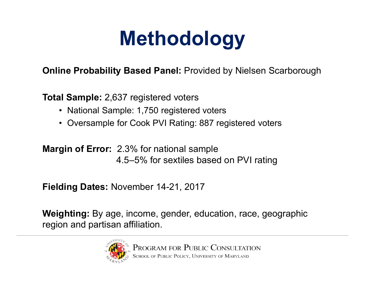# **Methodology**

**Online Probability Based Panel:** Provided by Nielsen Scarborough

**Total Sample:** 2,637 registered voters

- National Sample: 1,750 registered voters
- Oversample for Cook PVI Rating: 887 registered voters

**Margin of Error:** 2.3% for national sample 4.5–5% for sextiles based on PVI rating

**Fielding Dates:** November 14-21, 2017

**Weighting:** By age, income, gender, education, race, geographic region and partisan affiliation.

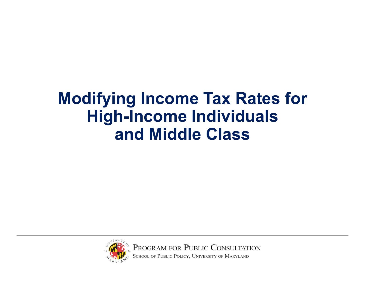### **Modifying Income Tax Rates for High-Income Individuals and Middle Class**



PROGRAM FOR PUBLIC CONSULTATION<br>SCHOOL OF PUBLIC POLICY, UNIVERSITY OF MARYLAND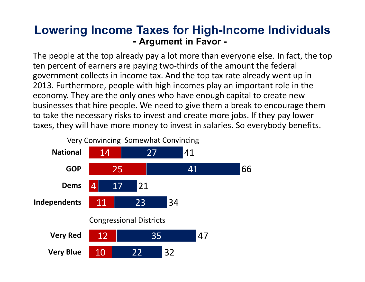#### **Lowering Income Taxes for High-Income Individuals - Argument in Favor -**

The people at the top already pay a lot more than everyone else. In fact, the top ten percent of earners are paying two-thirds of the amount the federal government collects in income tax. And the top tax rate already went up in 2013. Furthermore, people with high incomes play an important role in the economy. They are the only ones who have enough capital to create new businesses that hire people. We need to give them a break to encourage them to take the necessary risks to invest and create more jobs. If they pay lower taxes, they will have more money to invest in salaries. So everybody benefits.

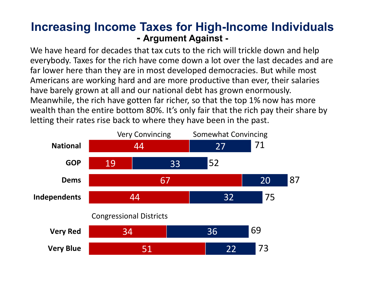#### **Increasing Income Taxes for High-Income Individuals - Argument Against -**

We have heard for decades that tax cuts to the rich will trickle down and help everybody. Taxes for the rich have come down a lot over the last decades and are far lower here than they are in most developed democracies. But while most Americans are working hard and are more productive than ever, their salaries have barely grown at all and our national debt has grown enormously. Meanwhile, the rich have gotten far richer, so that the top 1% now has more wealth than the entire bottom 80%. It's only fair that the rich pay their share by letting their rates rise back to where they have been in the past.

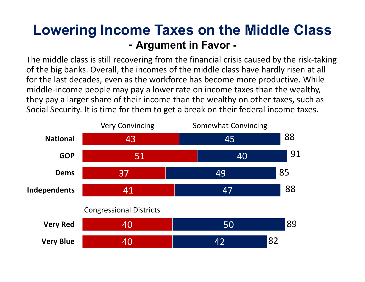### **Lowering Income Taxes on the Middle Class - Argument in Favor -**

The middle class is still recovering from the financial crisis caused by the risk‐taking of the big banks. Overall, the incomes of the middle class have hardly risen at all for the last decades, even as the workforce has become more productive. While middle‐income people may pay a lower rate on income taxes than the wealthy, they pay a larger share of their income than the wealthy on other taxes, such as Social Security. It is time for them to get a break on their federal income taxes.

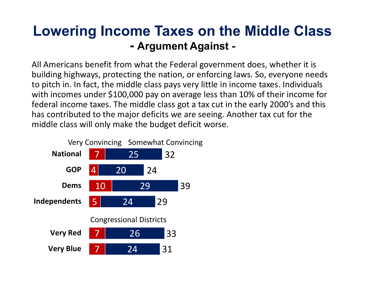### **Lowering Income Taxes on the Middle Class - Argument Against -**

All Americans benefit from what the Federal government does, whether it is building highways, protecting the nation, or enforcing laws. So, everyone needs to pitch in. In fact, the middle class pays very little in income taxes. Individuals with incomes under \$100,000 pay on average less than 10% of their income for federal income taxes. The middle class got a tax cut in the early 2000's and this has contributed to the major deficits we are seeing. Another tax cut for the middle class will only make the budget deficit worse.

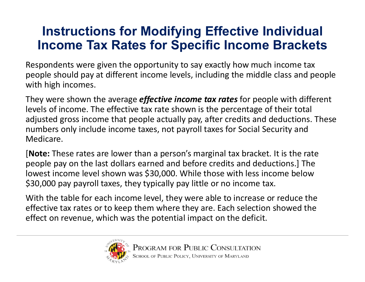### **Instructions for Modifying Effective Individual Income Tax Rates for Specific Income Brackets**

Respondents were given the opportunity to say exactly how much income tax people should pay at different income levels, including the middle class and people with high incomes.

They were shown the average *effective income tax rates* for people with different levels of income. The effective tax rate shown is the percentage of their total adjusted gross income that people actually pay, after credits and deductions. These numbers only include income taxes, not payroll taxes for Social Security and Medicare.

[**Note:** These rates are lower than a person's marginal tax bracket. It is the rate people pay on the last dollars earned and before credits and deductions.] The lowest income level shown was \$30,000. While those with less income below \$30,000 pay payroll taxes, they typically pay little or no income tax.

With the table for each income level, they were able to increase or reduce the effective tax rates or to keep them where they are. Each selection showed the effect on revenue, which was the potential impact on the deficit.

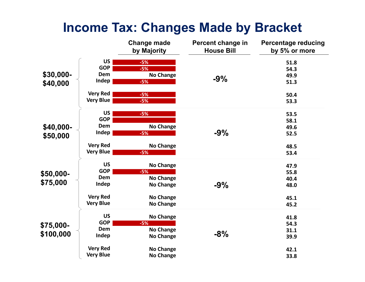### **Income Tax: Changes Made by Bracket**

|                        |                  | <b>Change made</b><br>by Majority | Percent change in<br><b>House Bill</b> | <b>Percentage reducing</b><br>by 5% or more |
|------------------------|------------------|-----------------------------------|----------------------------------------|---------------------------------------------|
|                        | <b>US</b>        | $-5%$                             |                                        | 51.8                                        |
|                        | <b>GOP</b>       | $-5%$                             |                                        | 54.3                                        |
| \$30,000-              | Dem              | <b>No Change</b>                  |                                        | 49.9                                        |
| \$40,000               | Indep            | $-5%$                             | $-9%$                                  | 51.3                                        |
|                        | <b>Very Red</b>  | $-5%$                             |                                        | 50.4                                        |
|                        | <b>Very Blue</b> | $-5%$                             |                                        | 53.3                                        |
|                        | <b>US</b>        | $-5%$                             |                                        | 53.5                                        |
|                        | <b>GOP</b>       |                                   |                                        | 58.1                                        |
| \$40,000-              | Dem              | <b>No Change</b>                  |                                        | 49.6                                        |
| \$50,000               | Indep            | $-5%$                             | $-9%$                                  | 52.5                                        |
|                        | <b>Very Red</b>  | <b>No Change</b>                  |                                        | 48.5                                        |
|                        | <b>Very Blue</b> | $-5%$                             |                                        | 53.4                                        |
|                        | <b>US</b>        | <b>No Change</b>                  |                                        | 47.9                                        |
| \$50,000-              | <b>GOP</b>       | $-5%$                             |                                        | 55.8                                        |
| \$75,000               | Dem              | <b>No Change</b>                  |                                        | 40.4                                        |
|                        | Indep            | <b>No Change</b>                  | $-9%$                                  | 48.0                                        |
|                        | <b>Very Red</b>  | <b>No Change</b>                  |                                        | 45.1                                        |
|                        | <b>Very Blue</b> | <b>No Change</b>                  |                                        | 45.2                                        |
| \$75,000-<br>\$100,000 | <b>US</b>        | <b>No Change</b>                  | $-8%$                                  | 41.8                                        |
|                        | <b>GOP</b>       | $-5%$                             |                                        | 54.3                                        |
|                        | Dem              | <b>No Change</b>                  |                                        | 31.1                                        |
|                        | Indep            | <b>No Change</b>                  |                                        | 39.9                                        |
|                        | <b>Very Red</b>  | <b>No Change</b>                  |                                        | 42.1                                        |
|                        | <b>Very Blue</b> | <b>No Change</b>                  |                                        | 33.8                                        |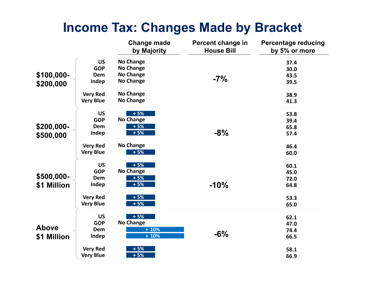### **Income Tax: Changes Made by Bracket**

|              |                  | <b>Change made</b><br>by Majority | Percent change in<br><b>House Bill</b> | <b>Percentage reducing</b><br>by 5% or more |
|--------------|------------------|-----------------------------------|----------------------------------------|---------------------------------------------|
|              | <b>US</b>        | <b>No Change</b>                  |                                        | 37.4                                        |
|              | <b>GOP</b>       | <b>No Change</b>                  |                                        | 30.0                                        |
| \$100,000-   | Dem              | <b>No Change</b>                  | $-7%$                                  | 43.5                                        |
| \$200,000    | Indep            | <b>No Change</b>                  |                                        | 39.5                                        |
|              | <b>Very Red</b>  | <b>No Change</b>                  |                                        | 38.9                                        |
|              | <b>Very Blue</b> | <b>No Change</b>                  |                                        | 41.3                                        |
|              | <b>US</b>        | $+5%$                             |                                        | 53.8                                        |
|              | <b>GOP</b>       | <b>No Change</b>                  |                                        | 39.4                                        |
| \$200,000-   | Dem              | $+5%$                             |                                        | 65.8                                        |
| \$500,000    | Indep            | $+5%$                             | $-8%$                                  | 57.4                                        |
|              | <b>Very Red</b>  | <b>No Change</b>                  |                                        | 46.4                                        |
|              | <b>Very Blue</b> | $+5%$                             |                                        | 60.0                                        |
|              | <b>US</b>        | $+5%$                             |                                        | 60.1                                        |
|              | <b>GOP</b>       | <b>No Change</b>                  |                                        | 45.0                                        |
| \$500,000-   | Dem              | $+5%$                             |                                        | 72.0                                        |
| \$1 Million  | Indep            | $+5%$                             | $-10%$                                 | 64.8                                        |
|              |                  |                                   |                                        |                                             |
|              | <b>Very Red</b>  | $+5%$<br>$+5%$                    |                                        | 53.3                                        |
|              | <b>Very Blue</b> |                                   |                                        | 65.0                                        |
|              |                  |                                   |                                        |                                             |
|              | <b>US</b>        | $+5%$<br><b>No Change</b>         |                                        | 62.1                                        |
|              | <b>GOP</b>       |                                   |                                        | 47.0                                        |
| <b>Above</b> | Dem              | $+10%$                            |                                        | 74.4                                        |
| \$1 Million  | Indep            | $+10%$                            | $-6%$                                  | 66.5                                        |
|              |                  |                                   |                                        |                                             |
|              | <b>Very Red</b>  | $+5%$                             |                                        | 58.1                                        |
|              | <b>Very Blue</b> | $+5%$                             |                                        | 66.9                                        |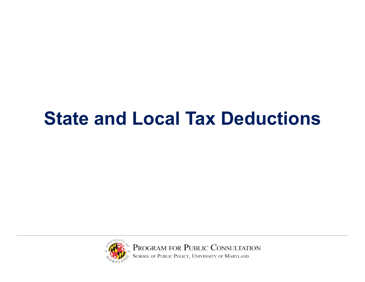## **State and Local Tax Deductions**



PROGRAM FOR PUBLIC CONSULTATION<br>SCHOOL OF PUBLIC POLICY, UNIVERSITY OF MARYLAND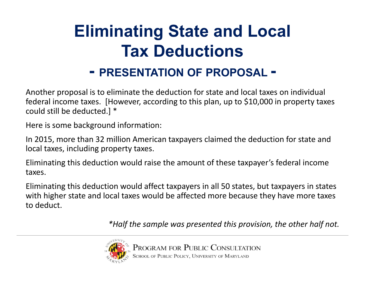## **Eliminating State and Local Tax Deductions**

### **- PRESENTATION OF PROPOSAL -**

Another proposal is to eliminate the deduction for state and local taxes on individual federal income taxes. [However, according to this plan, up to \$10,000 in property taxes could still be deducted.] \*

Here is some background information:

In 2015, more than 32 million American taxpayers claimed the deduction for state and local taxes, including property taxes.

Eliminating this deduction would raise the amount of these taxpayer's federal income taxes.

Eliminating this deduction would affect taxpayers in all 50 states, but taxpayers in states with higher state and local taxes would be affected more because they have more taxes to deduct.

*\*Half the sample was presented this provision, the other half not.* 

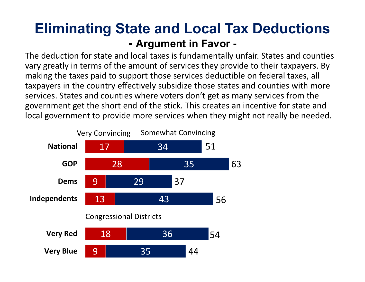### **Eliminating State and Local Tax Deductions - Argument in Favor -**

The deduction for state and local taxes is fundamentally unfair. States and counties vary greatly in terms of the amount of services they provide to their taxpayers. By making the taxes paid to support those services deductible on federal taxes, all taxpayers in the country effectively subsidize those states and counties with more services. States and counties where voters don't get as many services from the government get the short end of the stick. This creates an incentive for state and local government to provide more services when they might not really be needed.

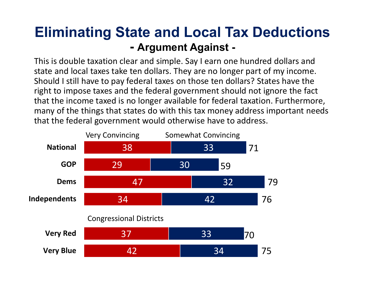### **Eliminating State and Local Tax Deductions - Argument Against -**

This is double taxation clear and simple. Say I earn one hundred dollars and state and local taxes take ten dollars. They are no longer part of my income. Should I still have to pay federal taxes on those ten dollars? States have the right to impose taxes and the federal government should not ignore the fact that the income taxed is no longer available for federal taxation. Furthermore, many of the things that states do with this tax money address important needs that the federal government would otherwise have to address.

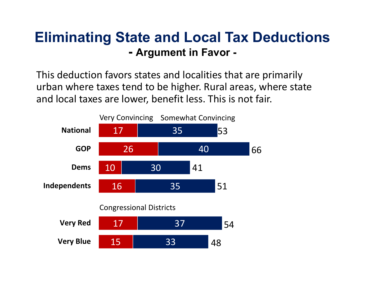### **Eliminating State and Local Tax Deductions - Argument in Favor -**

This deduction favors states and localities that are primarily urban where taxes tend to be higher. Rural areas, where state and local taxes are lower, benefit less. This is not fair.

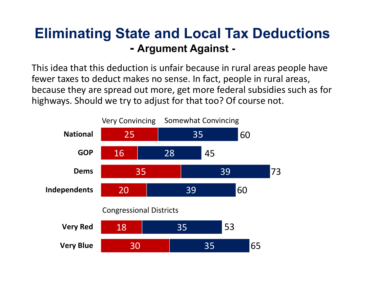### **Eliminating State and Local Tax Deductions - Argument Against -**

This idea that this deduction is unfair because in rural areas people have fewer taxes to deduct makes no sense. In fact, people in rural areas, because they are spread out more, get more federal subsidies such as for highways. Should we try to adjust for that too? Of course not.

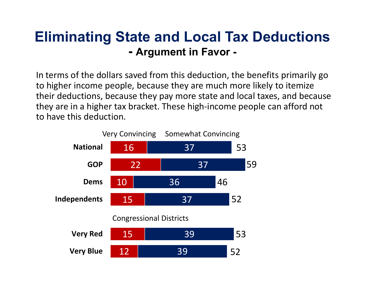### **Eliminating State and Local Tax Deductions - Argument in Favor -**

In terms of the dollars saved from this deduction, the benefits primarily go to higher income people, because they are much more likely to itemize their deductions, because they pay more state and local taxes, and because they are in a higher tax bracket. These high‐income people can afford not to have this deduction.

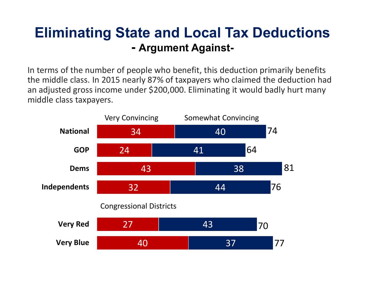### **Eliminating State and Local Tax Deductions - Argument Against-**

In terms of the number of people who benefit, this deduction primarily benefits the middle class. In 2015 nearly 87% of taxpayers who claimed the deduction had an adjusted gross income under \$200,000. Eliminating it would badly hurt many middle class taxpayers.

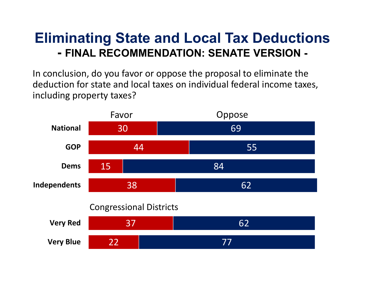### **Eliminating State and Local Tax Deductions - FINAL RECOMMENDATION: SENATE VERSION -**

In conclusion, do you favor or oppose the proposal to eliminate the deduction for state and local taxes on individual federal income taxes, including property taxes?

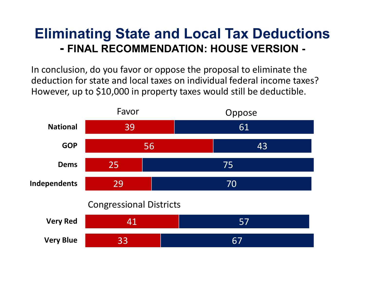### **Eliminating State and Local Tax Deductions - FINAL RECOMMENDATION: HOUSE VERSION -**

In conclusion, do you favor or oppose the proposal to eliminate the deduction for state and local taxes on individual federal income taxes? However, up to \$10,000 in property taxes would still be deductible.

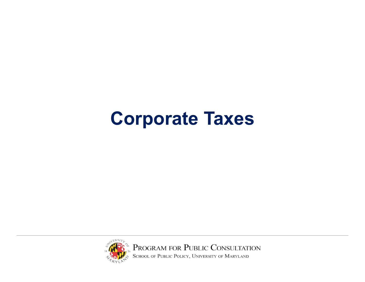## **Corporate Taxes**

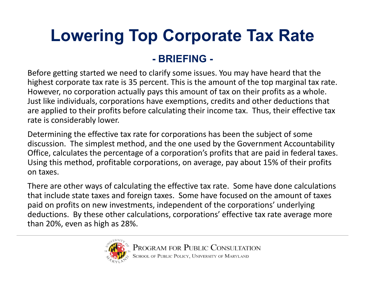### **Lowering Top Corporate Tax Rate - BRIEFING -**

Before getting started we need to clarify some issues. You may have heard that the highest corporate tax rate is 35 percent. This is the amount of the top marginal tax rate. However, no corporation actually pays this amount of tax on their profits as a whole. Just like individuals, corporations have exemptions, credits and other deductions that are applied to their profits before calculating their income tax. Thus, their effective tax rate is considerably lower.

Determining the effective tax rate for corporations has been the subject of some discussion. The simplest method, and the one used by the Government Accountability Office, calculates the percentage of a corporation's profits that are paid in federal taxes. Using this method, profitable corporations, on average, pay about 15% of their profits on taxes.

There are other ways of calculating the effective tax rate. Some have done calculations that include state taxes and foreign taxes. Some have focused on the amount of taxes paid on profits on new investments, independent of the corporations' underlying deductions. By these other calculations, corporations' effective tax rate average more than 20%, even as high as 28%.

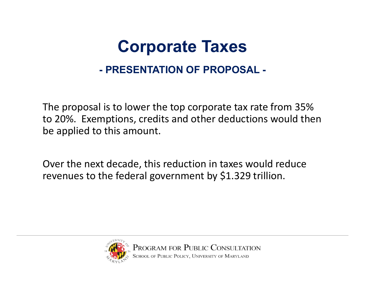### **Corporate Taxes - PRESENTATION OF PROPOSAL -**

The proposal is to lower the top corporate tax rate from 35% to 20%. Exemptions, credits and other deductions would then be applied to this amount.

Over the next decade, this reduction in taxes would reduce revenues to the federal government by \$1.329 trillion.

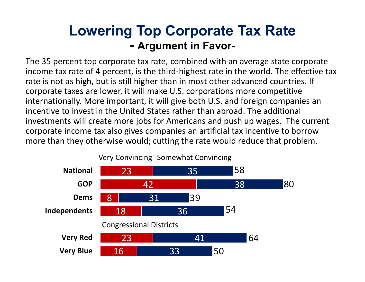### **Lowering Top Corporate Tax Rate - Argument in Favor-**

The 35 percent top corporate tax rate, combined with an average state corporate income tax rate of 4 percent, is the third‐highest rate in the world. The effective tax rate is not as high, but is still higher than in most other advanced countries. If corporate taxes are lower, it will make U.S. corporations more competitive internationally. More important, it will give both U.S. and foreign companies an incentive to invest in the United States rather than abroad. The additional investments will create more jobs for Americans and push up wages. The current corporate income tax also gives companies an artificial tax incentive to borrow more than they otherwise would; cutting the rate would reduce that problem.

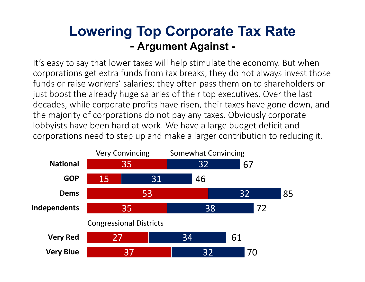### **Lowering Top Corporate Tax Rate - Argument Against -**

It's easy to say that lower taxes will help stimulate the economy. But when corporations get extra funds from tax breaks, they do not always invest those funds or raise workers' salaries; they often pass them on to shareholders or just boost the already huge salaries of their top executives. Over the last decades, while corporate profits have risen, their taxes have gone down, and the majority of corporations do not pay any taxes. Obviously corporate lobbyists have been hard at work. We have a large budget deficit and corporations need to step up and make a larger contribution to reducing it. ا ل<br>مصط

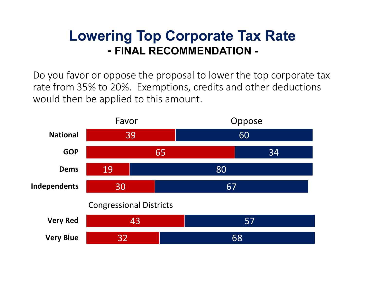### **Lowering Top Corporate Tax Rate - FINAL RECOMMENDATION -**

Do you favor or oppose the proposal to lower the top corporate tax rate from 35% to 20%. Exemptions, credits and other deductions would then be applied to this amount.

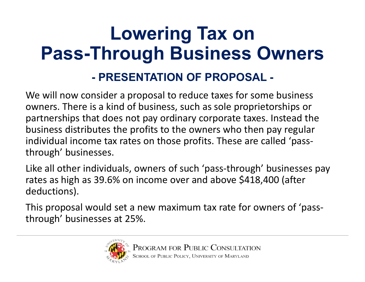## **Lowering Tax on Pass-Through Business Owners - PRESENTATION OF PROPOSAL -**

We will now consider a proposal to reduce taxes for some business owners. There is a kind of business, such as sole proprietorships or partnerships that does not pay ordinary corporate taxes. Instead the business distributes the profits to the owners who then pay regular individual income tax rates on those profits. These are called 'pass‐ through' businesses.

Like all other individuals, owners of such 'pass-through' businesses pay rates as high as 39.6% on income over and above \$418,400 (after deductions).

This proposal would set a new maximum tax rate for owners of 'pass‐ through' businesses at 25%.

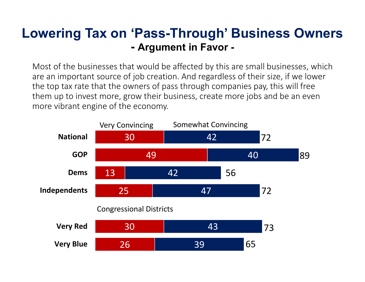#### **Lowering Tax on 'Pass-Through' Business Owners - Argument in Favor -**

Most of the businesses that would be affected by this are small businesses, which are an important source of job creation. And regardless of their size, if we lower the top tax rate that the owners of pass through companies pay, this will free them up to invest more, grow their business, create more jobs and be an even more vibrant engine of the economy.

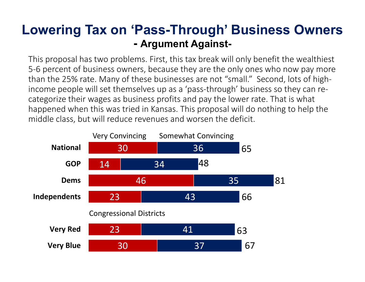#### **Lowering Tax on 'Pass-Through' Business Owners - Argument Against-**

This proposal has two problems. First, this tax break will only benefit the wealthiest 5‐6 percent of business owners, because they are the only ones who now pay more than the 25% rate. Many of these businesses are not "small." Second, lots of high‐ income people will set themselves up as a 'pass‐through' business so they can re‐ categorize their wages as business profits and pay the lower rate. That is what happened when this was tried in Kansas. This proposal will do nothing to help the middle class, but will reduce revenues and worsen the deficit.

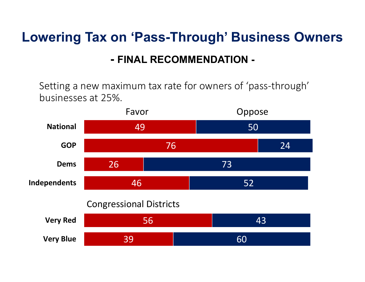### **Lowering Tax on 'Pass-Through' Business Owners - FINAL RECOMMENDATION -**

Setting a new maximum tax rate for owners of 'pass‐through' businesses at 25%.

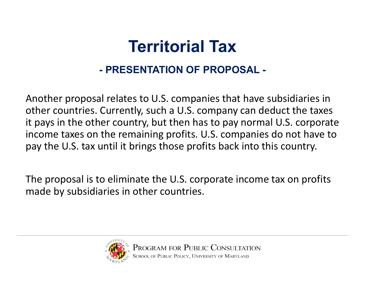### **Territorial Tax- PRESENTATION OF PROPOSAL -**

Another proposal relates to U.S. companies that have subsidiaries in other countries. Currently, such a U.S. company can deduct the taxes it pays in the other country, but then has to pay normal U.S. corporate income taxes on the remaining profits. U.S. companies do not have to pay the U.S. tax until it brings those profits back into this country.

The proposal is to eliminate the U.S. corporate income tax on profits made by subsidiaries in other countries.

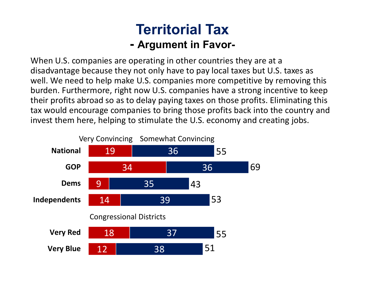### **Territorial Tax- Argument in Favor-**

When U.S. companies are operating in other countries they are at a disadvantage because they not only have to pay local taxes but U.S. taxes as well. We need to help make U.S. companies more competitive by removing this burden. Furthermore, right now U.S. companies have a strong incentive to keep their profits abroad so as to delay paying taxes on those profits. Eliminating this tax would encourage companies to bring those profits back into the country and invest them here, helping to stimulate the U.S. economy and creating jobs.

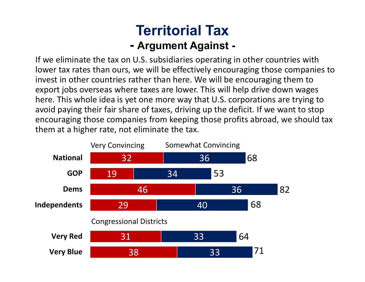### **Territorial Tax- Argument Against -**

If we eliminate the tax on U.S. subsidiaries operating in other countries with lower tax rates than ours, we will be effectively encouraging those companies to invest in other countries rather than here. We will be encouraging them to export jobs overseas where taxes are lower. This will help drive down wages here. This whole idea is yet one more way that U.S. corporations are trying to avoid paying their fair share of taxes, driving up the deficit. If we want to stop encouraging those companies from keeping those profits abroad, we should tax them at a higher rate, not eliminate the tax.

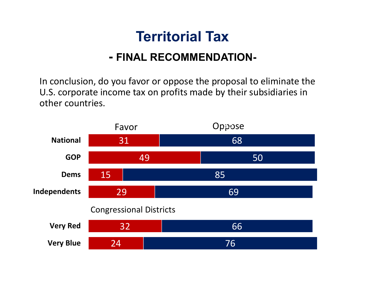### **Territorial Tax**

#### **- FINAL RECOMMENDATION-**

In conclusion, do you favor or oppose the proposal to eliminate the U.S. corporate income tax on profits made by their subsidiaries in other countries.

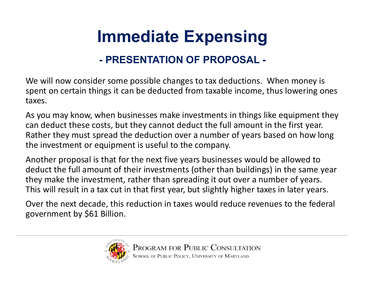## **Immediate Expensing**

#### **- PRESENTATION OF PROPOSAL -**

We will now consider some possible changes to tax deductions. When money is spent on certain things it can be deducted from taxable income, thus lowering ones taxes.

As you may know, when businesses make investments in things like equipment they can deduct these costs, but they cannot deduct the full amount in the first year. Rather they must spread the deduction over a number of years based on how long the investment or equipment is useful to the company.

Another proposal is that for the next five years businesses would be allowed to deduct the full amount of their investments (other than buildings) in the same year they make the investment, rather than spreading it out over a number of years. This will result in a tax cut in that first year, but slightly higher taxes in later years.

Over the next decade, this reduction in taxes would reduce revenues to the federal government by \$61 Billion.

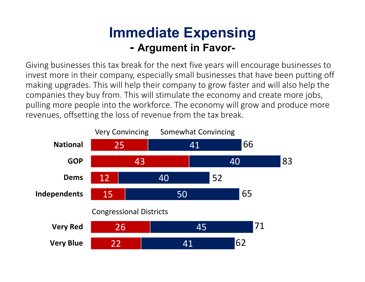### **Immediate Expensing - Argument in Favor-**

Giving businesses this tax break for the next five years will encourage businesses to invest more in their company, especially small businesses that have been putting off making upgrades. This will help their company to grow faster and will also help the companies they buy from. This will stimulate the economy and create more jobs, pulling more people into the workforce. The economy will grow and produce more revenues, offsetting the loss of revenue from the tax break.

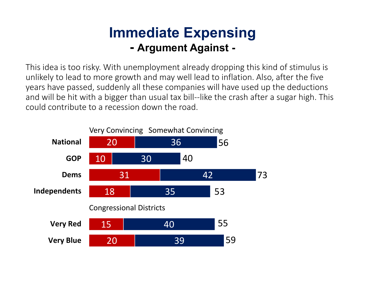### **Immediate Expensing - Argument Against -**

This idea is too risky. With unemployment already dropping this kind of stimulus is unlikely to lead to more growth and may well lead to inflation. Also, after the five years have passed, suddenly all these companies will have used up the deductions and will be hit with a bigger than usual tax bill--like the crash after a sugar high. This could contribute to a recession down the road.

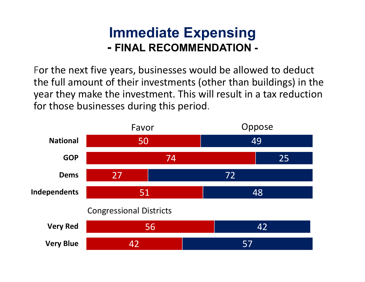### **Immediate Expensing - FINAL RECOMMENDATION -**

For the next five years, businesses would be allowed to deduct the full amount of their investments (other than buildings) in the year they make the investment. This will result in a tax reduction for those businesses during this period.

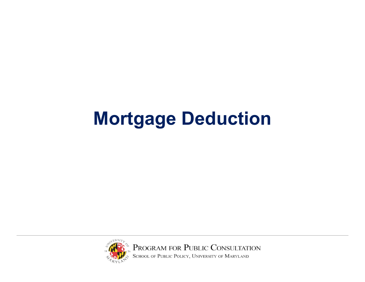## **Mortgage Deduction**

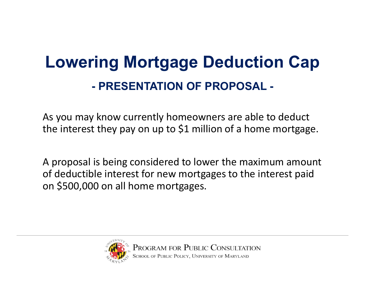## **Lowering Mortgage Deduction Cap - PRESENTATION OF PROPOSAL -**

As you may know currently homeowners are able to deduct the interest they pay on up to \$1 million of a home mortgage.

A proposal is being considered to lower the maximum amount of deductible interest for new mortgages to the interest paid on \$500,000 on all home mortgages.

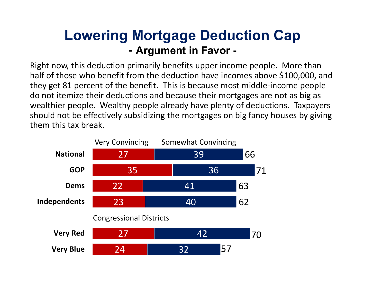### **Lowering Mortgage Deduction Cap - Argument in Favor -**

Right now, this deduction primarily benefits upper income people. More than half of those who benefit from the deduction have incomes above \$100,000, and they get 81 percent of the benefit. This is because most middle‐income people do not itemize their deductions and because their mortgages are not as big as wealthier people. Wealthy people already have plenty of deductions. Taxpayers should not be effectively subsidizing the mortgages on big fancy houses by giving them this tax break.

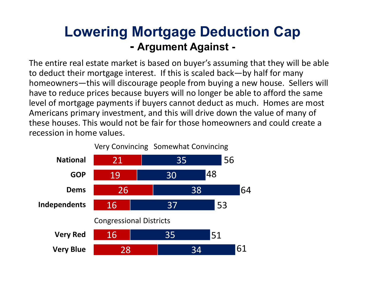### **Lowering Mortgage Deduction Cap - Argument Against -**

The entire real estate market is based on buyer's assuming that they will be able to deduct their mortgage interest. If this is scaled back—by half for many homeowners—this will discourage people from buying a new house. Sellers will have to reduce prices because buyers will no longer be able to afford the same level of mortgage payments if buyers cannot deduct as much. Homes are most Americans primary investment, and this will drive down the value of many of these houses. This would not be fair for those homeowners and could create a recession in home values. $\overline{3}$ 

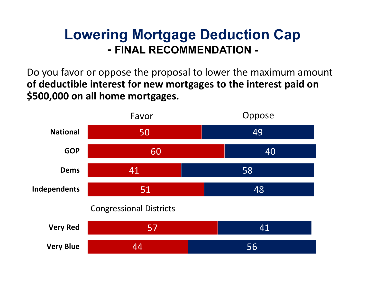### **Lowering Mortgage Deduction Cap - FINAL RECOMMENDATION -**

Do you favor or oppose the proposal to lower the maximum amount **of deductible interest for new mortgages to the interest paid on \$500,000 on all home mortgages.**

![](_page_42_Figure_2.jpeg)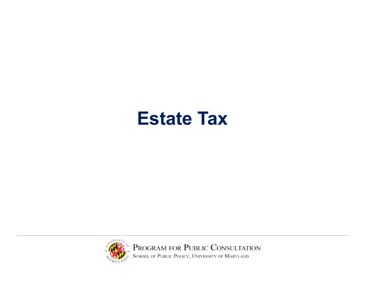### **Estate Tax**

![](_page_43_Picture_1.jpeg)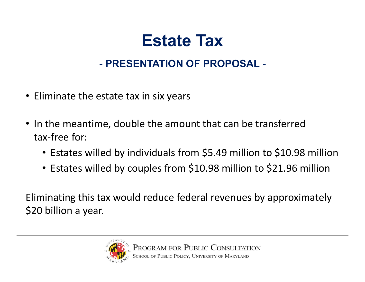### **Estate Tax**

#### **- PRESENTATION OF PROPOSAL -**

- Eliminate the estate tax in six years
- In the meantime, double the amount that can be transferred tax‐free for:
	- Estates willed by individuals from \$5.49 million to \$10.98 million
	- Estates willed by couples from \$10.98 million to \$21.96 million

Eliminating this tax would reduce federal revenues by approximately \$20 billion a year.

![](_page_44_Picture_7.jpeg)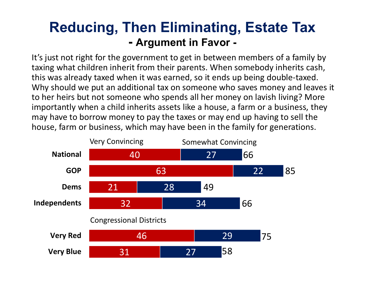### **Reducing, Then Eliminating, Estate Tax - Argument in Favor -**

It's just not right for the government to get in between members of a family by taxing what children inherit from their parents. When somebody inherits cash, this was already taxed when it was earned, so it ends up being double‐taxed. Why should we put an additional tax on someone who saves money and leaves it to her heirs but not someone who spends all her money on lavish living? More importantly when a child inherits assets like a house, a farm or a business, they may have to borrow money to pay the taxes or may end up having to sell the house, farm or business, which may have been in the family for generations.

![](_page_45_Figure_2.jpeg)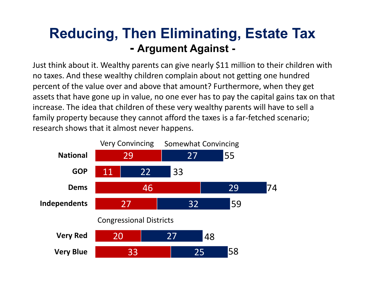### **Reducing, Then Eliminating, Estate Tax - Argument Against -**

Just think about it. Wealthy parents can give nearly \$11 million to their children with no taxes. And these wealthy children complain about not getting one hundred percent of the value over and above that amount? Furthermore, when they get assets that have gone up in value, no one ever has to pay the capital gains tax on that increase. The idea that children of these very wealthy parents will have to sell a family property because they cannot afford the taxes is a far-fetched scenario; research shows that it almost never happens.

![](_page_46_Figure_2.jpeg)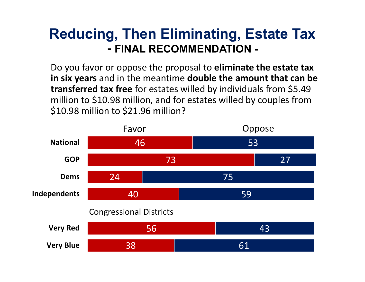### **Reducing, Then Eliminating, Estate Tax - FINAL RECOMMENDATION -**

Do you favor or oppose the proposal to **eliminate the estate tax in six years** and in the meantime **double the amount that can be transferred tax free** for estates willed by individuals from \$5.49 million to \$10.98 million, and for estates willed by couples from \$10.98 million to \$21.96 million?

![](_page_47_Figure_2.jpeg)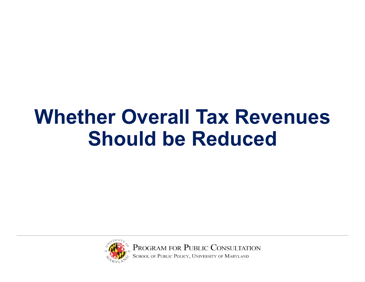## **Whether Overall Tax Revenues Should be Reduced**

![](_page_48_Picture_1.jpeg)

PROGRAM FOR PUBLIC CONSULTATION<br>SCHOOL OF PUBLIC POLICY, UNIVERSITY OF MARYLAND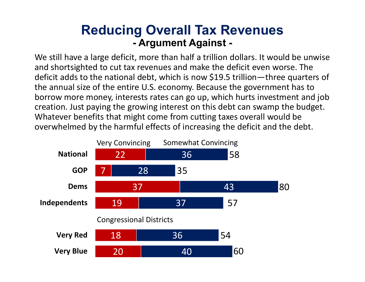#### **Reducing Overall Tax Revenues - Argument Against -**

We still have a large deficit, more than half a trillion dollars. It would be unwise and shortsighted to cut tax revenues and make the deficit even worse. The deficit adds to the national debt, which is now \$19.5 trillion—three quarters of the annual size of the entire U.S. economy. Because the government has to borrow more money, interests rates can go up, which hurts investment and job creation. Just paying the growing interest on this debt can swamp the budget. Whatever benefits that might come from cutting taxes overall would be overwhelmed by the harmful effects of increasing the deficit and the debt.

![](_page_49_Figure_2.jpeg)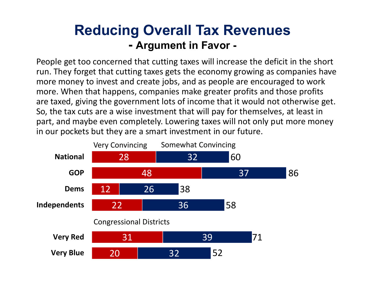### **Reducing Overall Tax Revenues - Argument in Favor -**

People get too concerned that cutting taxes will increase the deficit in the short run. They forget that cutting taxes gets the economy growing as companies have more money to invest and create jobs, and as people are encouraged to work more. When that happens, companies make greater profits and those profits are taxed, giving the government lots of income that it would not otherwise get. So, the tax cuts are a wise investment that will pay for themselves, at least in part, and maybe even completely. Lowering taxes will not only put more money in our pockets but they are a smart investment in our future.

![](_page_50_Figure_2.jpeg)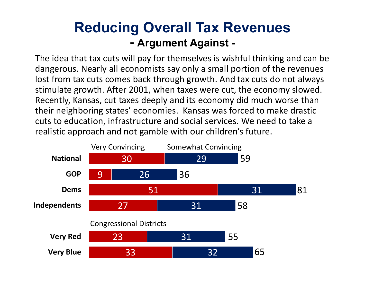### **Reducing Overall Tax Revenues - Argument Against -**

The idea that tax cuts will pay for themselves is wishful thinking and can be dangerous. Nearly all economists say only a small portion of the revenues lost from tax cuts comes back through growth. And tax cuts do not always stimulate growth. After 2001, when taxes were cut, the economy slowed. Recently, Kansas, cut taxes deeply and its economy did much worse than their neighboring states' economies. Kansas was forced to make drastic cuts to education, infrastructure and social services. We need to take a realistic approach and not gamble with our children's future.

![](_page_51_Figure_2.jpeg)